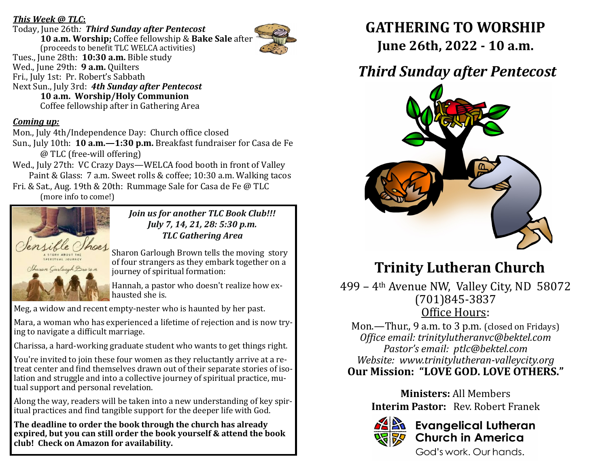## *This Week @ TLC***:**

Today, June 26th*: Third Sunday after Pentecost* **10 a.m. Worship;** Coffee fellowship & **Bake Sale** after (proceeds to benefit TLC WELCA activities) Tues., June 28th: **10:30 a.m.** Bible study Wed., June 29th: **9 a.m.** Quilters Fri., July 1st: Pr. Robert's Sabbath Next Sun., July 3rd: *4th Sunday after Pentecost* **10 a.m. Worship/Holy Communion**  Coffee fellowship after in Gathering Area

## *Coming up:*

Mon., July 4th/Independence Day: Church office closed

Sun., July 10th: **10 a.m.—1:30 p.m.** Breakfast fundraiser for Casa de Fe @ TLC (free-will offering)

Wed., July 27th: VC Crazy Days—WELCA food booth in front of Valley Paint & Glass: 7 a.m. Sweet rolls & coffee; 10:30 a.m. Walking tacos Fri. & Sat., Aug. 19th & 20th: Rummage Sale for Casa de Fe @ TLC

(more info to come!)



*Join us for another TLC Book Club!!! July 7, 14, 21, 28: 5:30 p.m. TLC Gathering Area*

Sharon Garlough Brown tells the moving story of four strangers as they embark together on a journey of spiritual formation:

Hannah, a pastor who doesn't realize how exhausted she is.

Meg, a widow and recent empty-nester who is haunted by her past.

Mara, a woman who has experienced a lifetime of rejection and is now trying to navigate a difficult marriage.

Charissa, a hard-working graduate student who wants to get things right.

You're invited to join these four women as they reluctantly arrive at a retreat center and find themselves drawn out of their separate stories of isolation and struggle and into a collective journey of spiritual practice, mutual support and personal revelation.

Along the way, readers will be taken into a new understanding of key spiritual practices and find tangible support for the deeper life with God.

**The deadline to order the book through the church has already expired, but you can still order the book yourself & attend the book club! Check on Amazon for availability.**

**GATHERING TO WORSHIP June 26th, 2022 - 10 a.m.**

# *Third Sunday after Pentecost*



# **Trinity Lutheran Church**

499 – 4th Avenue NW, Valley City, ND 58072 (701)845-3837 Office Hours:

Mon.—Thur., 9 a.m. to 3 p.m. (closed on Fridays) *Office email: trinitylutheranvc@bektel.com Pastor's email: ptlc@bektel.com Website: www.trinitylutheran-valleycity.org* **Our Mission: "LOVE GOD. LOVE OTHERS."**

> **Ministers:** All Members **Interim Pastor:** Rev. Robert Franek



# **Evangelical Lutheran Church in America**

God's work, Our hands.